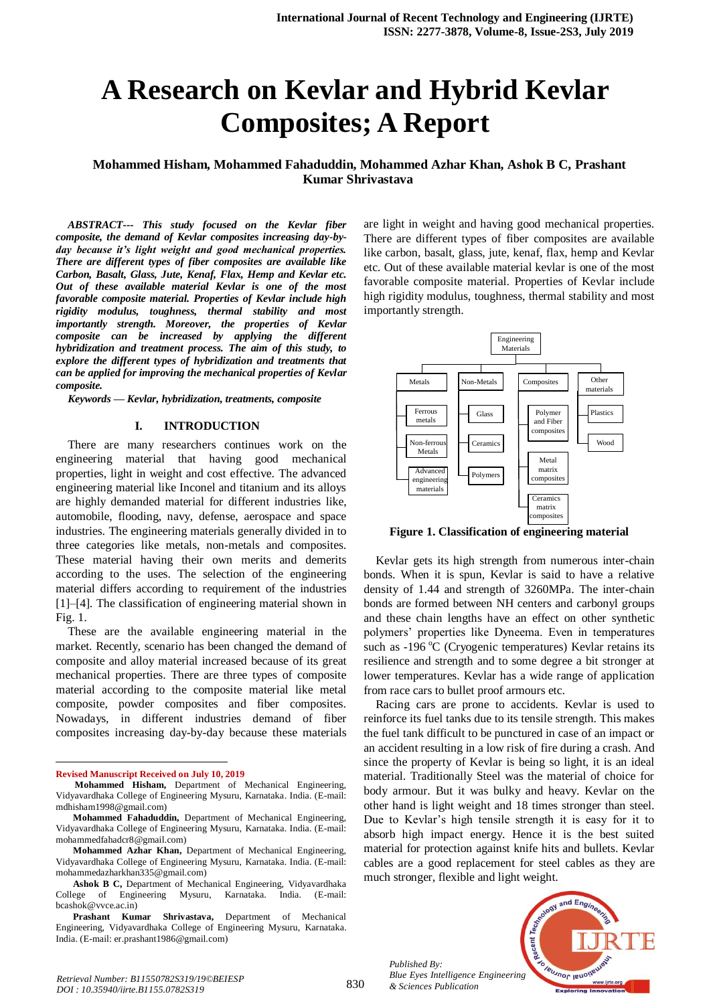# **A Research on Kevlar and Hybrid Kevlar Composites; A Report**

**Mohammed Hisham, Mohammed Fahaduddin, Mohammed Azhar Khan, Ashok B C, Prashant Kumar Shrivastava**

*ABSTRACT--- This study focused on the Kevlar fiber composite, the demand of Kevlar composites increasing day-byday because it's light weight and good mechanical properties. There are different types of fiber composites are available like Carbon, Basalt, Glass, Jute, Kenaf, Flax, Hemp and Kevlar etc. Out of these available material Kevlar is one of the most favorable composite material. Properties of Kevlar include high rigidity modulus, toughness, thermal stability and most importantly strength. Moreover, the properties of Kevlar composite can be increased by applying the different hybridization and treatment process. The aim of this study, to explore the different types of hybridization and treatments that can be applied for improving the mechanical properties of Kevlar composite.*

*Keywords — Kevlar, hybridization, treatments, composite*

#### **I. INTRODUCTION**

There are many researchers continues work on the engineering material that having good mechanical properties, light in weight and cost effective. The advanced engineering material like Inconel and titanium and its alloys are highly demanded material for different industries like, automobile, flooding, navy, defense, aerospace and space industries. The engineering materials generally divided in to three categories like metals, non-metals and composites. These material having their own merits and demerits according to the uses. The selection of the engineering material differs according to requirement of the industries [1]–[4]. The classification of engineering material shown in Fig. 1.

These are the available engineering material in the market. Recently, scenario has been changed the demand of composite and alloy material increased because of its great mechanical properties. There are three types of composite material according to the composite material like metal composite, powder composites and fiber composites. Nowadays, in different industries demand of fiber composites increasing day-by-day because these materials

**Revised Manuscript Received on July 10, 2019**

 $\overline{a}$ 

- **Mohammed Hisham,** Department of Mechanical Engineering, Vidyavardhaka College of Engineering Mysuru, Karnataka. India. (E-mail: mdhisham1998@gmail.com)
- **Mohammed Fahaduddin,** Department of Mechanical Engineering, Vidyavardhaka College of Engineering Mysuru, Karnataka. India. (E-mail: mohammedfahadcr8@gmail.com)
- **Mohammed Azhar Khan,** Department of Mechanical Engineering, Vidyavardhaka College of Engineering Mysuru, Karnataka. India. (E-mail: mohammedazharkhan335@gmail.com)
- **Ashok B C,** Department of Mechanical Engineering, Vidyavardhaka College of Engineering Mysuru, Karnataka. India. (E-mail: bcashok@vvce.ac.in)
- **Prashant Kumar Shrivastava,** Department of Mechanical Engineering, Vidyavardhaka College of Engineering Mysuru, Karnataka. India. (E-mail: er.prashant1986@gmail.com)

are light in weight and having good mechanical properties. There are different types of fiber composites are available like carbon, basalt, glass, jute, kenaf, flax, hemp and Kevlar etc. Out of these available material kevlar is one of the most favorable composite material. Properties of Kevlar include high rigidity modulus, toughness, thermal stability and most importantly strength.



**Figure 1. Classification of engineering material**

Kevlar gets its high strength from numerous inter-chain bonds. When it is spun, Kevlar is said to have a relative density of 1.44 and strength of 3260MPa. The inter-chain bonds are formed between NH centers and carbonyl groups and these chain lengths have an effect on other synthetic polymers' properties like Dyneema. Even in temperatures such as  $-196^{\circ}$ C (Cryogenic temperatures) Kevlar retains its resilience and strength and to some degree a bit stronger at lower temperatures. Kevlar has a wide range of application from race cars to bullet proof armours etc.

Racing cars are prone to accidents. Kevlar is used to reinforce its fuel tanks due to its tensile strength. This makes the fuel tank difficult to be punctured in case of an impact or an accident resulting in a low risk of fire during a crash. And since the property of Kevlar is being so light, it is an ideal material. Traditionally Steel was the material of choice for body armour. But it was bulky and heavy. Kevlar on the other hand is light weight and 18 times stronger than steel. Due to Kevlar's high tensile strength it is easy for it to absorb high impact energy. Hence it is the best suited material for protection against knife hits and bullets. Kevlar cables are a good replacement for steel cables as they are much stronger, flexible and light weight.

*Published By: Blue Eyes Intelligence Engineering & Sciences Publication* 

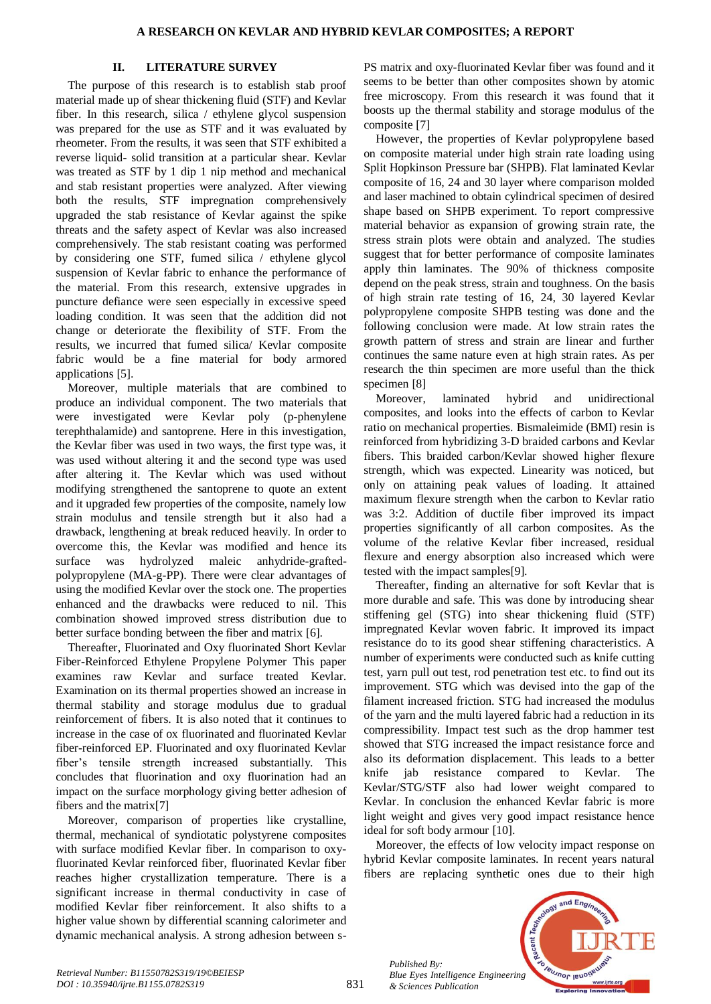## **II. LITERATURE SURVEY**

The purpose of this research is to establish stab proof material made up of shear thickening fluid (STF) and Kevlar fiber. In this research, silica / ethylene glycol suspension was prepared for the use as STF and it was evaluated by rheometer. From the results, it was seen that STF exhibited a reverse liquid- solid transition at a particular shear. Kevlar was treated as STF by 1 dip 1 nip method and mechanical and stab resistant properties were analyzed. After viewing both the results, STF impregnation comprehensively upgraded the stab resistance of Kevlar against the spike threats and the safety aspect of Kevlar was also increased comprehensively. The stab resistant coating was performed by considering one STF, fumed silica / ethylene glycol suspension of Kevlar fabric to enhance the performance of the material. From this research, extensive upgrades in puncture defiance were seen especially in excessive speed loading condition. It was seen that the addition did not change or deteriorate the flexibility of STF. From the results, we incurred that fumed silica/ Kevlar composite fabric would be a fine material for body armored applications [5].

Moreover, multiple materials that are combined to produce an individual component. The two materials that were investigated were Kevlar poly (p-phenylene terephthalamide) and santoprene. Here in this investigation, the Kevlar fiber was used in two ways, the first type was, it was used without altering it and the second type was used after altering it. The Kevlar which was used without modifying strengthened the santoprene to quote an extent and it upgraded few properties of the composite, namely low strain modulus and tensile strength but it also had a drawback, lengthening at break reduced heavily. In order to overcome this, the Kevlar was modified and hence its surface was hydrolyzed maleic anhydride-graftedpolypropylene (MA-g-PP). There were clear advantages of using the modified Kevlar over the stock one. The properties enhanced and the drawbacks were reduced to nil. This combination showed improved stress distribution due to better surface bonding between the fiber and matrix [6].

Thereafter, Fluorinated and Oxy fluorinated Short Kevlar Fiber-Reinforced Ethylene Propylene Polymer This paper examines raw Kevlar and surface treated Kevlar. Examination on its thermal properties showed an increase in thermal stability and storage modulus due to gradual reinforcement of fibers. It is also noted that it continues to increase in the case of ox fluorinated and fluorinated Kevlar fiber-reinforced EP. Fluorinated and oxy fluorinated Kevlar fiber's tensile strength increased substantially. This concludes that fluorination and oxy fluorination had an impact on the surface morphology giving better adhesion of fibers and the matrix[7]

Moreover, comparison of properties like crystalline, thermal, mechanical of syndiotatic polystyrene composites with surface modified Kevlar fiber. In comparison to oxyfluorinated Kevlar reinforced fiber, fluorinated Kevlar fiber reaches higher crystallization temperature. There is a significant increase in thermal conductivity in case of modified Kevlar fiber reinforcement. It also shifts to a higher value shown by differential scanning calorimeter and dynamic mechanical analysis. A strong adhesion between s-

PS matrix and oxy-fluorinated Kevlar fiber was found and it seems to be better than other composites shown by atomic free microscopy. From this research it was found that it boosts up the thermal stability and storage modulus of the composite [7]

However, the properties of Kevlar polypropylene based on composite material under high strain rate loading using Split Hopkinson Pressure bar (SHPB). Flat laminated Kevlar composite of 16, 24 and 30 layer where comparison molded and laser machined to obtain cylindrical specimen of desired shape based on SHPB experiment. To report compressive material behavior as expansion of growing strain rate, the stress strain plots were obtain and analyzed. The studies suggest that for better performance of composite laminates apply thin laminates. The 90% of thickness composite depend on the peak stress, strain and toughness. On the basis of high strain rate testing of 16, 24, 30 layered Kevlar polypropylene composite SHPB testing was done and the following conclusion were made. At low strain rates the growth pattern of stress and strain are linear and further continues the same nature even at high strain rates. As per research the thin specimen are more useful than the thick specimen [8]

Moreover, laminated hybrid and unidirectional composites, and looks into the effects of carbon to Kevlar ratio on mechanical properties. Bismaleimide (BMI) resin is reinforced from hybridizing 3-D braided carbons and Kevlar fibers. This braided carbon/Kevlar showed higher flexure strength, which was expected. Linearity was noticed, but only on attaining peak values of loading. It attained maximum flexure strength when the carbon to Kevlar ratio was 3:2. Addition of ductile fiber improved its impact properties significantly of all carbon composites. As the volume of the relative Kevlar fiber increased, residual flexure and energy absorption also increased which were tested with the impact samples[9].

Thereafter, finding an alternative for soft Kevlar that is more durable and safe. This was done by introducing shear stiffening gel (STG) into shear thickening fluid (STF) impregnated Kevlar woven fabric. It improved its impact resistance do to its good shear stiffening characteristics. A number of experiments were conducted such as knife cutting test, yarn pull out test, rod penetration test etc. to find out its improvement. STG which was devised into the gap of the filament increased friction. STG had increased the modulus of the yarn and the multi layered fabric had a reduction in its compressibility. Impact test such as the drop hammer test showed that STG increased the impact resistance force and also its deformation displacement. This leads to a better knife jab resistance compared to Kevlar. The Kevlar/STG/STF also had lower weight compared to Kevlar. In conclusion the enhanced Kevlar fabric is more light weight and gives very good impact resistance hence ideal for soft body armour [10].

Moreover, the effects of low velocity impact response on hybrid Kevlar composite laminates. In recent years natural fibers are replacing synthetic ones due to their high

*Published By: Blue Eyes Intelligence Engineering & Sciences Publication* 

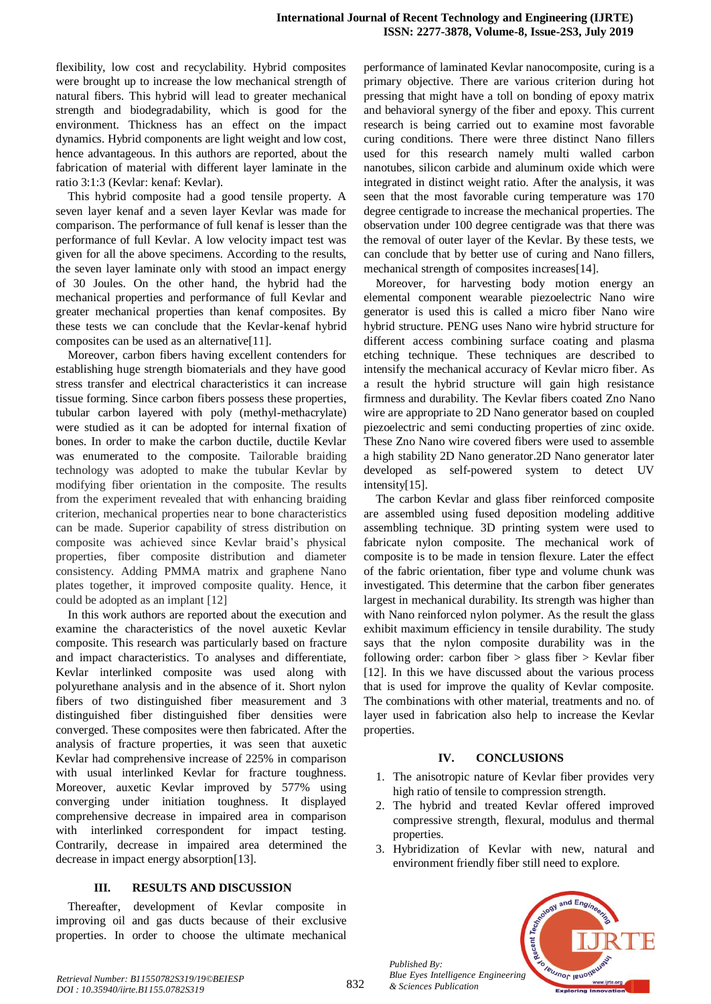flexibility, low cost and recyclability. Hybrid composites were brought up to increase the low mechanical strength of natural fibers. This hybrid will lead to greater mechanical strength and biodegradability, which is good for the environment. Thickness has an effect on the impact dynamics. Hybrid components are light weight and low cost, hence advantageous. In this authors are reported, about the fabrication of material with different layer laminate in the ratio 3:1:3 (Kevlar: kenaf: Kevlar).

This hybrid composite had a good tensile property. A seven layer kenaf and a seven layer Kevlar was made for comparison. The performance of full kenaf is lesser than the performance of full Kevlar. A low velocity impact test was given for all the above specimens. According to the results, the seven layer laminate only with stood an impact energy of 30 Joules. On the other hand, the hybrid had the mechanical properties and performance of full Kevlar and greater mechanical properties than kenaf composites. By these tests we can conclude that the Kevlar-kenaf hybrid composites can be used as an alternative[11].

Moreover, carbon fibers having excellent contenders for establishing huge strength biomaterials and they have good stress transfer and electrical characteristics it can increase tissue forming. Since carbon fibers possess these properties, tubular carbon layered with poly (methyl-methacrylate) were studied as it can be adopted for internal fixation of bones. In order to make the carbon ductile, ductile Kevlar was enumerated to the composite. Tailorable braiding technology was adopted to make the tubular Kevlar by modifying fiber orientation in the composite. The results from the experiment revealed that with enhancing braiding criterion, mechanical properties near to bone characteristics can be made. Superior capability of stress distribution on composite was achieved since Kevlar braid's physical properties, fiber composite distribution and diameter consistency. Adding PMMA matrix and graphene Nano plates together, it improved composite quality. Hence, it could be adopted as an implant [12]

In this work authors are reported about the execution and examine the characteristics of the novel auxetic Kevlar composite. This research was particularly based on fracture and impact characteristics. To analyses and differentiate, Kevlar interlinked composite was used along with polyurethane analysis and in the absence of it. Short nylon fibers of two distinguished fiber measurement and 3 distinguished fiber distinguished fiber densities were converged. These composites were then fabricated. After the analysis of fracture properties, it was seen that auxetic Kevlar had comprehensive increase of 225% in comparison with usual interlinked Kevlar for fracture toughness. Moreover, auxetic Kevlar improved by 577% using converging under initiation toughness. It displayed comprehensive decrease in impaired area in comparison with interlinked correspondent for impact testing. Contrarily, decrease in impaired area determined the decrease in impact energy absorption[13].

### **III. RESULTS AND DISCUSSION**

Thereafter, development of Kevlar composite in improving oil and gas ducts because of their exclusive properties. In order to choose the ultimate mechanical

performance of laminated Kevlar nanocomposite, curing is a primary objective. There are various criterion during hot pressing that might have a toll on bonding of epoxy matrix and behavioral synergy of the fiber and epoxy. This current research is being carried out to examine most favorable curing conditions. There were three distinct Nano fillers used for this research namely multi walled carbon nanotubes, silicon carbide and aluminum oxide which were integrated in distinct weight ratio. After the analysis, it was seen that the most favorable curing temperature was 170 degree centigrade to increase the mechanical properties. The observation under 100 degree centigrade was that there was the removal of outer layer of the Kevlar. By these tests, we can conclude that by better use of curing and Nano fillers, mechanical strength of composites increases[14].

Moreover, for harvesting body motion energy an elemental component wearable piezoelectric Nano wire generator is used this is called a micro fiber Nano wire hybrid structure. PENG uses Nano wire hybrid structure for different access combining surface coating and plasma etching technique. These techniques are described to intensify the mechanical accuracy of Kevlar micro fiber. As a result the hybrid structure will gain high resistance firmness and durability. The Kevlar fibers coated Zno Nano wire are appropriate to 2D Nano generator based on coupled piezoelectric and semi conducting properties of zinc oxide. These Zno Nano wire covered fibers were used to assemble a high stability 2D Nano generator.2D Nano generator later developed as self-powered system to detect UV intensity[15].

The carbon Kevlar and glass fiber reinforced composite are assembled using fused deposition modeling additive assembling technique. 3D printing system were used to fabricate nylon composite. The mechanical work of composite is to be made in tension flexure. Later the effect of the fabric orientation, fiber type and volume chunk was investigated. This determine that the carbon fiber generates largest in mechanical durability. Its strength was higher than with Nano reinforced nylon polymer. As the result the glass exhibit maximum efficiency in tensile durability. The study says that the nylon composite durability was in the following order: carbon fiber  $>$  glass fiber  $>$  Kevlar fiber [12]. In this we have discussed about the various process that is used for improve the quality of Kevlar composite. The combinations with other material, treatments and no. of layer used in fabrication also help to increase the Kevlar properties.

### **IV. CONCLUSIONS**

- 1. The anisotropic nature of Kevlar fiber provides very high ratio of tensile to compression strength.
- 2. The hybrid and treated Kevlar offered improved compressive strength, flexural, modulus and thermal properties.
- 3. Hybridization of Kevlar with new, natural and environment friendly fiber still need to explore.



832